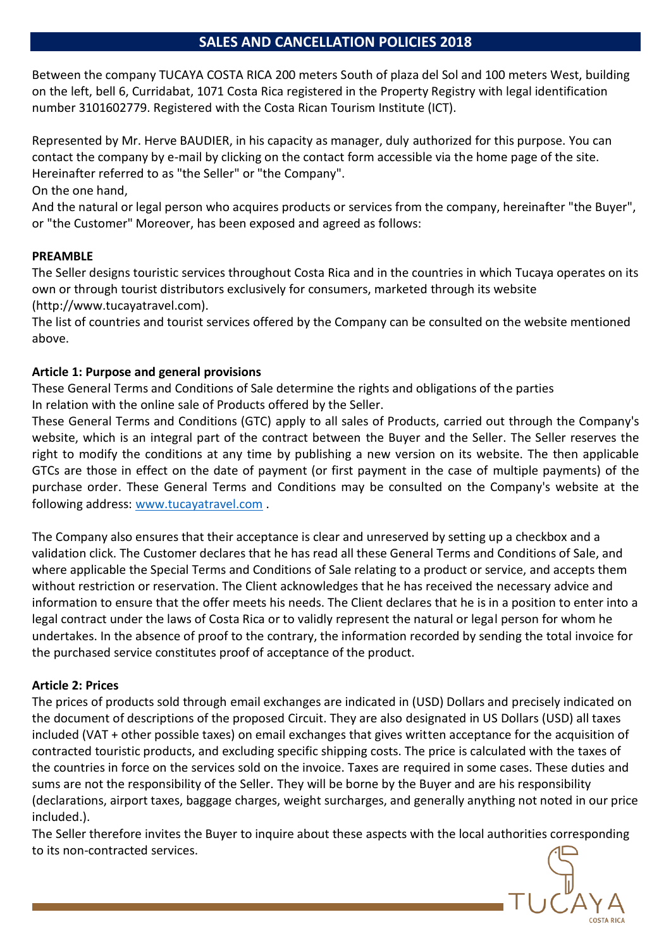# **SALES AND CANCELLATION POLICIES 2018**

Between the company TUCAYA COSTA RICA 200 meters South of plaza del Sol and 100 meters West, building on the left, bell 6, Curridabat, 1071 Costa Rica registered in the Property Registry with legal identification number 3101602779. Registered with the Costa Rican Tourism Institute (ICT).

Represented by Mr. Herve BAUDIER, in his capacity as manager, duly authorized for this purpose. You can contact the company by e-mail by clicking on the contact form accessible via the home page of the site. Hereinafter referred to as "the Seller" or "the Company".

On the one hand,

And the natural or legal person who acquires products or services from the company, hereinafter "the Buyer", or "the Customer" Moreover, has been exposed and agreed as follows:

### **PREAMBLE**

The Seller designs touristic services throughout Costa Rica and in the countries in which Tucaya operates on its own or through tourist distributors exclusively for consumers, marketed through its website (http://www.tucayatravel.com).

The list of countries and tourist services offered by the Company can be consulted on the website mentioned above.

## **Article 1: Purpose and general provisions**

These General Terms and Conditions of Sale determine the rights and obligations of the parties In relation with the online sale of Products offered by the Seller.

These General Terms and Conditions (GTC) apply to all sales of Products, carried out through the Company's website, which is an integral part of the contract between the Buyer and the Seller. The Seller reserves the right to modify the conditions at any time by publishing a new version on its website. The then applicable GTCs are those in effect on the date of payment (or first payment in the case of multiple payments) of the purchase order. These General Terms and Conditions may be consulted on the Company's website at the following address: www.tucayatravel.com .

The Company also ensures that their acceptance is clear and unreserved by setting up a checkbox and a validation click. The Customer declares that he has read all these General Terms and Conditions of Sale, and where applicable the Special Terms and Conditions of Sale relating to a product or service, and accepts them without restriction or reservation. The Client acknowledges that he has received the necessary advice and information to ensure that the offer meets his needs. The Client declares that he is in a position to enter into a legal contract under the laws of Costa Rica or to validly represent the natural or legal person for whom he undertakes. In the absence of proof to the contrary, the information recorded by sending the total invoice for the purchased service constitutes proof of acceptance of the product.

# **Article 2: Prices**

The prices of products sold through email exchanges are indicated in (USD) Dollars and precisely indicated on the document of descriptions of the proposed Circuit. They are also designated in US Dollars (USD) all taxes included (VAT + other possible taxes) on email exchanges that gives written acceptance for the acquisition of contracted touristic products, and excluding specific shipping costs. The price is calculated with the taxes of the countries in force on the services sold on the invoice. Taxes are required in some cases. These duties and sums are not the responsibility of the Seller. They will be borne by the Buyer and are his responsibility (declarations, airport taxes, baggage charges, weight surcharges, and generally anything not noted in our price included.).

The Seller therefore invites the Buyer to inquire about these aspects with the local authorities corresponding to its non-contracted services.

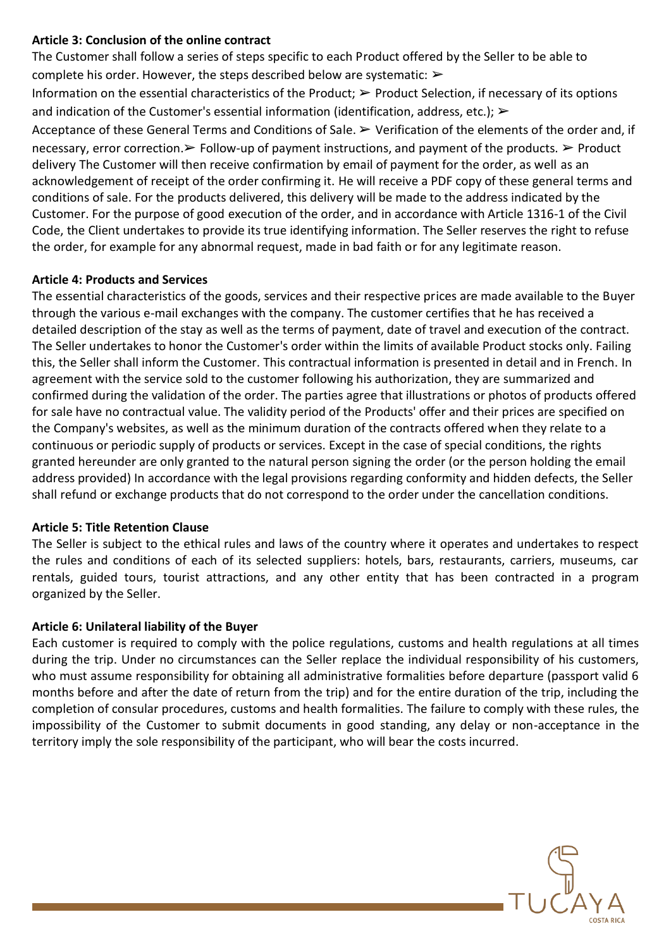### **Article 3: Conclusion of the online contract**

The Customer shall follow a series of steps specific to each Product offered by the Seller to be able to complete his order. However, the steps described below are systematic: ➢

Information on the essential characteristics of the Product; ➢ Product Selection, if necessary of its options and indication of the Customer's essential information (identification, address, etc.);  $\triangleright$ 

Acceptance of these General Terms and Conditions of Sale. > Verification of the elements of the order and, if necessary, error correction.➢ Follow-up of payment instructions, and payment of the products. ➢ Product delivery The Customer will then receive confirmation by email of payment for the order, as well as an acknowledgement of receipt of the order confirming it. He will receive a PDF copy of these general terms and conditions of sale. For the products delivered, this delivery will be made to the address indicated by the Customer. For the purpose of good execution of the order, and in accordance with Article 1316-1 of the Civil Code, the Client undertakes to provide its true identifying information. The Seller reserves the right to refuse the order, for example for any abnormal request, made in bad faith or for any legitimate reason.

### **Article 4: Products and Services**

The essential characteristics of the goods, services and their respective prices are made available to the Buyer through the various e-mail exchanges with the company. The customer certifies that he has received a detailed description of the stay as well as the terms of payment, date of travel and execution of the contract. The Seller undertakes to honor the Customer's order within the limits of available Product stocks only. Failing this, the Seller shall inform the Customer. This contractual information is presented in detail and in French. In agreement with the service sold to the customer following his authorization, they are summarized and confirmed during the validation of the order. The parties agree that illustrations or photos of products offered for sale have no contractual value. The validity period of the Products' offer and their prices are specified on the Company's websites, as well as the minimum duration of the contracts offered when they relate to a continuous or periodic supply of products or services. Except in the case of special conditions, the rights granted hereunder are only granted to the natural person signing the order (or the person holding the email address provided) In accordance with the legal provisions regarding conformity and hidden defects, the Seller shall refund or exchange products that do not correspond to the order under the cancellation conditions.

#### **Article 5: Title Retention Clause**

The Seller is subject to the ethical rules and laws of the country where it operates and undertakes to respect the rules and conditions of each of its selected suppliers: hotels, bars, restaurants, carriers, museums, car rentals, guided tours, tourist attractions, and any other entity that has been contracted in a program organized by the Seller.

### **Article 6: Unilateral liability of the Buyer**

Each customer is required to comply with the police regulations, customs and health regulations at all times during the trip. Under no circumstances can the Seller replace the individual responsibility of his customers, who must assume responsibility for obtaining all administrative formalities before departure (passport valid 6 months before and after the date of return from the trip) and for the entire duration of the trip, including the completion of consular procedures, customs and health formalities. The failure to comply with these rules, the impossibility of the Customer to submit documents in good standing, any delay or non-acceptance in the territory imply the sole responsibility of the participant, who will bear the costs incurred.

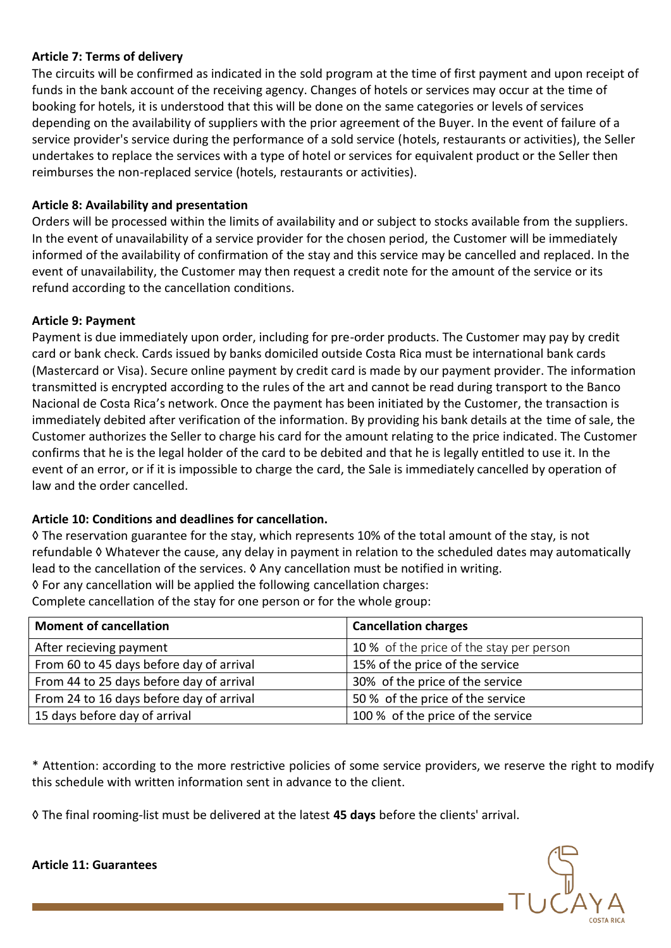### **Article 7: Terms of delivery**

The circuits will be confirmed as indicated in the sold program at the time of first payment and upon receipt of funds in the bank account of the receiving agency. Changes of hotels or services may occur at the time of booking for hotels, it is understood that this will be done on the same categories or levels of services depending on the availability of suppliers with the prior agreement of the Buyer. In the event of failure of a service provider's service during the performance of a sold service (hotels, restaurants or activities), the Seller undertakes to replace the services with a type of hotel or services for equivalent product or the Seller then reimburses the non-replaced service (hotels, restaurants or activities).

### **Article 8: Availability and presentation**

Orders will be processed within the limits of availability and or subject to stocks available from the suppliers. In the event of unavailability of a service provider for the chosen period, the Customer will be immediately informed of the availability of confirmation of the stay and this service may be cancelled and replaced. In the event of unavailability, the Customer may then request a credit note for the amount of the service or its refund according to the cancellation conditions.

#### **Article 9: Payment**

Payment is due immediately upon order, including for pre-order products. The Customer may pay by credit card or bank check. Cards issued by banks domiciled outside Costa Rica must be international bank cards (Mastercard or Visa). Secure online payment by credit card is made by our payment provider. The information transmitted is encrypted according to the rules of the art and cannot be read during transport to the Banco Nacional de Costa Rica's network. Once the payment has been initiated by the Customer, the transaction is immediately debited after verification of the information. By providing his bank details at the time of sale, the Customer authorizes the Seller to charge his card for the amount relating to the price indicated. The Customer confirms that he is the legal holder of the card to be debited and that he is legally entitled to use it. In the event of an error, or if it is impossible to charge the card, the Sale is immediately cancelled by operation of law and the order cancelled.

### **Article 10: Conditions and deadlines for cancellation.**

◊ The reservation guarantee for the stay, which represents 10% of the total amount of the stay, is not refundable ◊ Whatever the cause, any delay in payment in relation to the scheduled dates may automatically lead to the cancellation of the services. ◊ Any cancellation must be notified in writing. ◊ For any cancellation will be applied the following cancellation charges:

Complete cancellation of the stay for one person or for the whole group:

| <b>Moment of cancellation</b>            | <b>Cancellation charges</b>             |
|------------------------------------------|-----------------------------------------|
| After recieving payment                  | 10% of the price of the stay per person |
| From 60 to 45 days before day of arrival | 15% of the price of the service         |
| From 44 to 25 days before day of arrival | 30% of the price of the service         |
| From 24 to 16 days before day of arrival | 50 % of the price of the service        |
| 15 days before day of arrival            | 100 % of the price of the service       |

\* Attention: according to the more restrictive policies of some service providers, we reserve the right to modify this schedule with written information sent in advance to the client.

◊ The final rooming-list must be delivered at the latest **45 days** before the clients' arrival.



#### **Article 11: Guarantees**